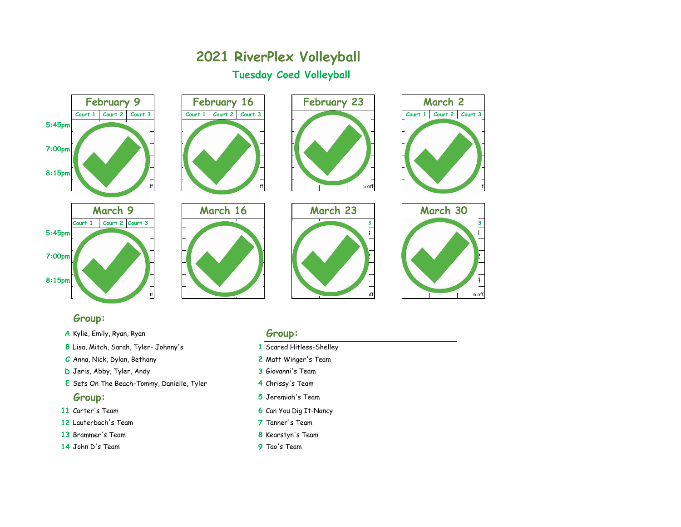

## **Group:**

## **A** Kylie, Emily, Ryan, Ryan **Group:**

- **B** Lisa, Mitch, Sarah, Tyler- Johnny's **1** Scared Hitless-Shelley
- **C** Anna, Nick, Dylan, Bethany **2** Matt Winger's Team
- **D** Jeris, Abby, Tyler, Andy **3** Giovanni's Team
- **E** Sets On The Beach-Tommy, Danielle, Tyler **4** Chrissy's Team

- 
- **12** Lauterbach's Team **7** Tanner's Team
- **13** Brammer's Team **8** Kearstyn's Team
- **14** John D's Team **9** Tao's Team

- 
- 
- 
- 
- **Group: 5** Jeremiah's Team
- **11** Carter's Team **6** Can You Dig It-Nancy
	-
	-
	-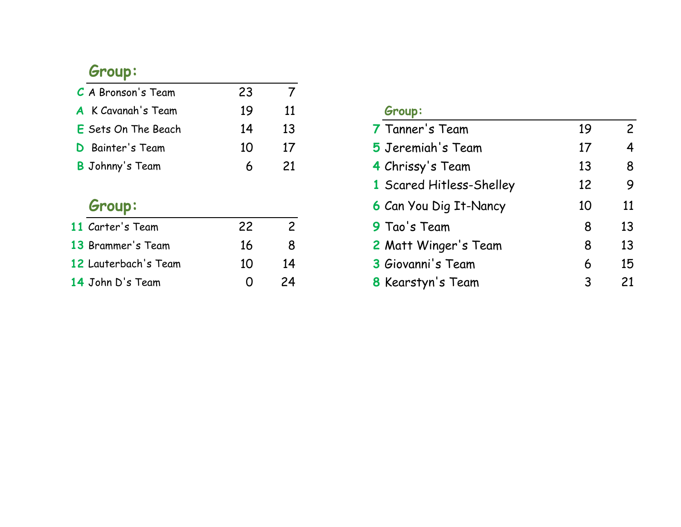# **Group:**

| C A Bronson's Team         | 23 |    |                   |    |
|----------------------------|----|----|-------------------|----|
| A K Cavanah's Team         | 19 | 11 | Group:            |    |
| <b>E</b> Sets On The Beach | 14 | 13 | 7 Tanner's Team   | 19 |
| <b>D</b> Bainter's Team    | 10 | 17 | 5 Jeremiah's Team | 17 |
| <b>B</b> Johnny's Team     |    | 21 | 4 Chrissy's Team  | 13 |

# **Group:**

| 11 Carter's Team     | 22                | ╭  |
|----------------------|-------------------|----|
| 13 Brammer's Team    | 16                | Χ  |
| 12 Lauterbach's Team | 10                | 14 |
| 14 John D's Team     | $\mathbf{\Omega}$ | 24 |

## $Group:$

| 7 Tanner's Team               | 19 | 2  |
|-------------------------------|----|----|
| 5 Jeremiah's Team             | 17 | 4  |
| 4 Chrissy's Team              | 13 | 8  |
| 1 Scared Hitless-Shelley      | 12 | 9  |
| <b>6 Can You Dig It-Nancy</b> | 10 | 11 |
| 9 Tao's Team                  | 8  | 13 |
| 2 Matt Winger's Team          | 8  | 13 |
| 3 Giovanni's Team             | 6  | 15 |
| 8 Kearstyn's Team             | 3  | 21 |
|                               |    |    |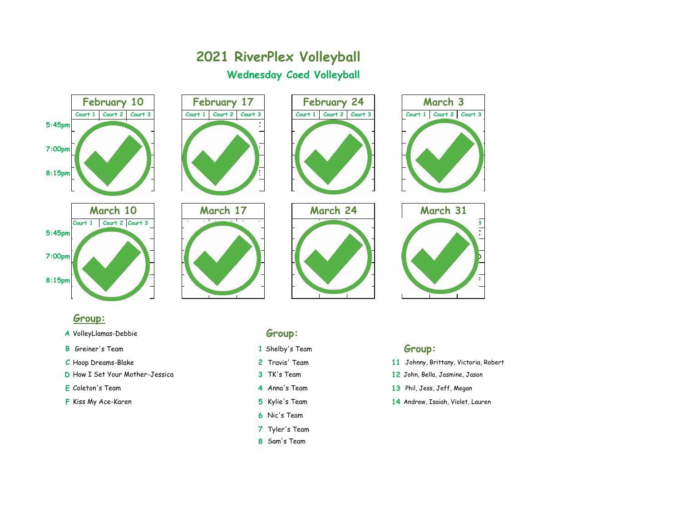

## **Group:**

- A VolleyLlamas-Debbie
- **B** Greiner's Team **Group: 1** Shelby's Team **Group:**
- 
- **D** How I Set Your Mother-Jessica **3** TK's Team **12** John, Bella, Jasmine, Jason
- 
- 

| v<br>. . |         |   | P. |   |
|----------|---------|---|----|---|
| v<br>۰.  | ٠<br>۰. | × |    | × |

- 
- 
- 
- 
- 
- **6** Nic's Team
- **7** Tyler's Team
- **8** Sam's Team

- **C** Hoop Dreams-Blake **2** Travis' Team **11** Johnny, Brittany, Victoria, Robert
	-
- **E** Coleton's Team **4** Anna's Team **13** Phil, Jess, Jeff, Megan
- **F** Kiss My Ace-Karen **5** Kylie's Team **14** Andrew, Isaiah, Violet, Lauren